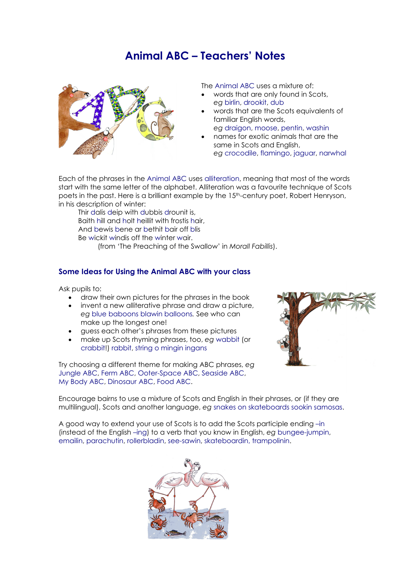## **Animal ABC – Teachers' Notes**



The Animal ABC uses a mixture of:

- words that are only found in Scots, *eg* birlin, drookit, dub
- words that are the Scots equivalents of familiar English words,
- *eg* draigon, moose, pentin, washin • names for exotic animals that are the
- same in Scots and English, *eg* crocodile, flamingo, jaguar, narwhal

Each of the phrases in the Animal ABC uses alliteration, meaning that most of the words start with the same letter of the alphabet. Alliteration was a favourite technique of Scots poets in the past. Here is a brilliant example by the 15th-century poet, Robert Henryson, in his description of winter:

Thir dalis deip with dubbis drounit is, Baith hill and holt heillit with frostis hair, And bewis bene ar bethit bair off blis Be wickit windis off the winter wair.

(from 'The Preaching of the Swallow' in *Morall Fabillis*).

## **Some Ideas for Using the Animal ABC with your class**

Ask pupils to:

- draw their own pictures for the phrases in the book
- invent a new alliterative phrase and draw a picture, *eg* blue baboons blawin balloons*.* See who can make up the longest one!
- guess each other's phrases from these pictures
- make up Scots rhyming phrases, too, *eg* wabbit (or crabbit!) rabbit, string o mingin ingans

Try choosing a different theme for making ABC phrases, *eg* Jungle ABC, Ferm ABC, Ooter-Space ABC, Seaside ABC, My Body ABC, Dinosaur ABC, Food ABC.



Encourage bairns to use a mixture of Scots and English in their phrases, or (if they are multilingual), Scots and another language, *eg* snakes on skateboards sookin samosas.

A good way to extend your use of Scots is to add the Scots participle ending –in (instead of the English –ing) to a verb that you know in English, *eg* bungee-jumpin, emailin, parachutin, rollerbladin, see-sawin, skateboardin, trampolinin.

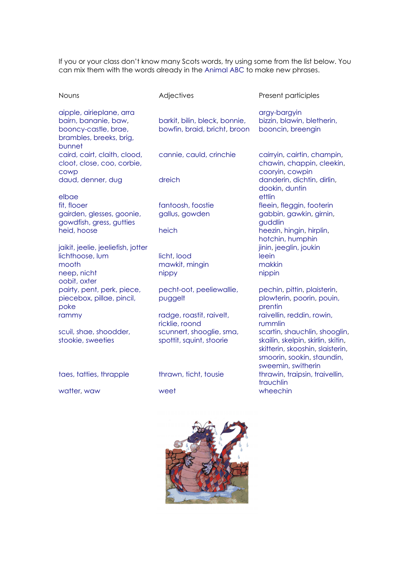If you or your class don't know many Scots words, try using some from the list below. You can mix them with the words already in the Animal ABC to make new phrases.

| <b>Nouns</b>                                                                                                  | Adjectives                                                    | Present participles                                                                                                                                         |
|---------------------------------------------------------------------------------------------------------------|---------------------------------------------------------------|-------------------------------------------------------------------------------------------------------------------------------------------------------------|
| aipple, airieplane, arra<br>bairn, bananie, baw,<br>booncy-castle, brae,<br>brambles, breeks, brig,<br>bunnet | barkit, bilin, bleck, bonnie,<br>bowfin, braid, bricht, broon | argy-bargyin<br>bizzin, blawin, bletherin,<br>booncin, breengin                                                                                             |
| caird, cairt, claith, clood,<br>cloot, close, coo, corbie,<br>cowp                                            | cannie, cauld, crinchie                                       | cairryin, cairtin, champin,<br>chawin, chappin, cleekin,<br>cooryin, cowpin                                                                                 |
| daud, denner, dug<br>elbae                                                                                    | dreich                                                        | danderin, dichtin, dirlin,<br>dookin, duntin<br>ettlin                                                                                                      |
| fit, flooer<br>gairden, glesses, goonie,<br>gowdfish, gress, gutties                                          | fantoosh, foostie<br>gallus, gowden                           | fleein, fleggin, footerin<br>gabbin, gawkin, girnin,<br>guddlin                                                                                             |
| heid, hoose                                                                                                   | heich                                                         | heezin, hingin, hirplin,<br>hotchin, humphin                                                                                                                |
| jaikit, jeelie, jeeliefish, jotter<br>lichthoose, lum<br>mooth<br>neep, nicht                                 | licht, lood<br>mawkit, mingin<br>nippy                        | jinin, jeeglin, joukin<br>leein<br>makkin<br>nippin                                                                                                         |
| oobit, oxter<br>pairty, pent, perk, piece,<br>piecebox, pillae, pincil,<br>poke                               | pecht-oot, peeliewallie,<br>puggelt                           | pechin, pittin, plaisterin,<br>plowterin, poorin, pouin,<br>prentin                                                                                         |
| rammy                                                                                                         | radge, roastit, raivelt,<br>ricklie, roond                    | raivellin, reddin, rowin,<br>rummlin                                                                                                                        |
| scuil, shae, shoodder,<br>stookie, sweeties                                                                   | scunnert, shooglie, sma,<br>spottit, squint, stoorie          | scartin, shauchlin, shooglin,<br>skailin, skelpin, skirlin, skitin,<br>skitterin, skooshin, slaisterin,<br>smoorin, sookin, staundin,<br>sweemin, switherin |
| taes, tatties, thrapple                                                                                       | thrawn, ticht, tousie                                         | thrawin, traipsin, traivellin,<br>trauchlin                                                                                                                 |
| watter, waw                                                                                                   | weet                                                          | wheechin                                                                                                                                                    |